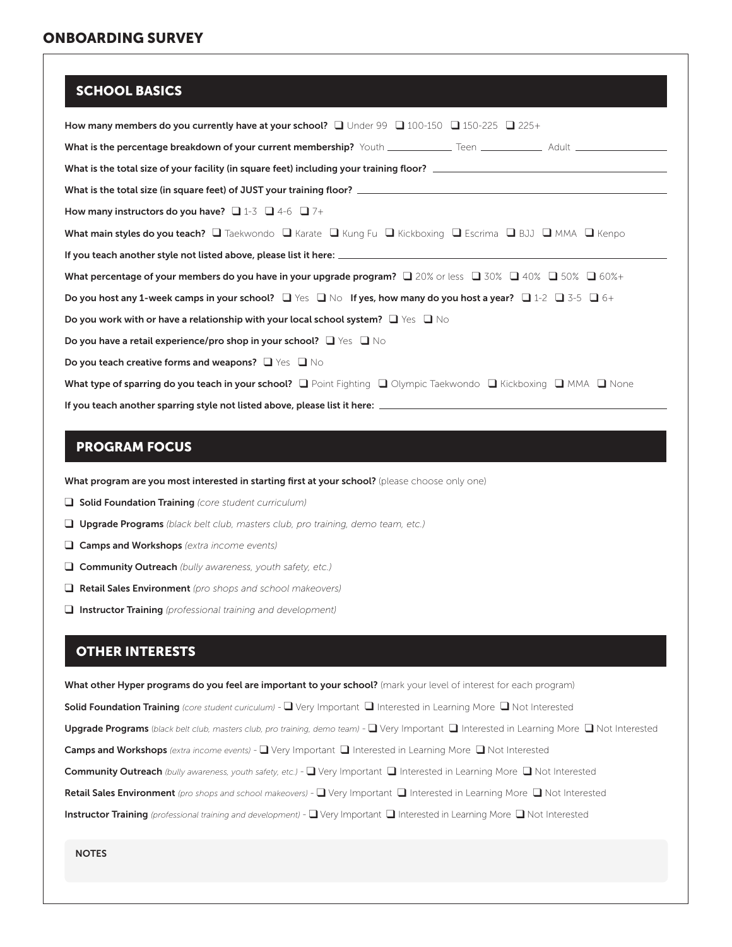#### SCHOOL BASICS

| How many members do you currently have at your school? Q Under 99 Q 100-150 Q 150-225 Q 225+                                                            |
|---------------------------------------------------------------------------------------------------------------------------------------------------------|
|                                                                                                                                                         |
| What is the total size of your facility (in square feet) including your training floor?                                                                 |
|                                                                                                                                                         |
| How many instructors do you have? $\Box$ 1-3 $\Box$ 4-6 $\Box$ 7+                                                                                       |
| <b>What main styles do you teach?</b> $\Box$ Taekwondo $\Box$ Karate $\Box$ Kung Fu $\Box$ Kickboxing $\Box$ Escrima $\Box$ BJJ $\Box$ MMA $\Box$ Kenpo |
|                                                                                                                                                         |
| What percentage of your members do you have in your upgrade program? $\Box$ 20% or less $\Box$ 30% $\Box$ 40% $\Box$ 50% $\Box$ 60%+                    |
| Do you host any 1-week camps in your school? $\Box$ Yes $\Box$ No If yes, how many do you host a year? $\Box$ 1-2 $\Box$ 3-5 $\Box$ 6+                  |
| Do you work with or have a relationship with your local school system? $\Box$ Yes $\Box$ No                                                             |
| Do you have a retail experience/pro shop in your school? $\Box$ Yes $\Box$ No                                                                           |
| Do you teach creative forms and weapons? $\Box$ Yes $\Box$ No                                                                                           |
| What type of sparring do you teach in your school? Q Point Fighting Q Olympic Taekwondo Q Kickboxing Q MMA Q None                                       |
|                                                                                                                                                         |

### PROGRAM FOCUS

What program are you most interested in starting first at your school? (please choose only one)

- **Q** Solid Foundation Training *(core student curriculum)*
- q Upgrade Programs *(black belt club, masters club, pro training, demo team, etc.)*
- q Camps and Workshops *(extra income events)*
- q Community Outreach *(bully awareness, youth safety, etc.)*
- q Retail Sales Environment *(pro shops and school makeovers)*
- q Instructor Training *(professional training and development)*

#### OTHER INTERESTS

What other Hyper programs do you feel are important to your school? (mark your level of interest for each program) Solid Foundation Training (core student curiculum) - Q Very Important Q Interested in Learning More Q Not Interested Upgrade Programs (black belt club, masters club, pro training, demo team) - Q Very Important Q Interested in Learning More Q Not Interested Camps and Workshops *(extra income events)* -  $\Box$  Very Important  $\Box$  Interested in Learning More  $\Box$  Not Interested Community Outreach (bully awareness, youth safety, etc.) - Q Very Important Q Interested in Learning More Q Not Interested Retail Sales Environment *(pro shops and school makeovers)* -  $\Box$  Very Important  $\Box$  Interested in Learning More  $\Box$  Not Interested Instructor Training (professional training and development) - Q Very Important Q Interested in Learning More Q Not Interested

**NOTES**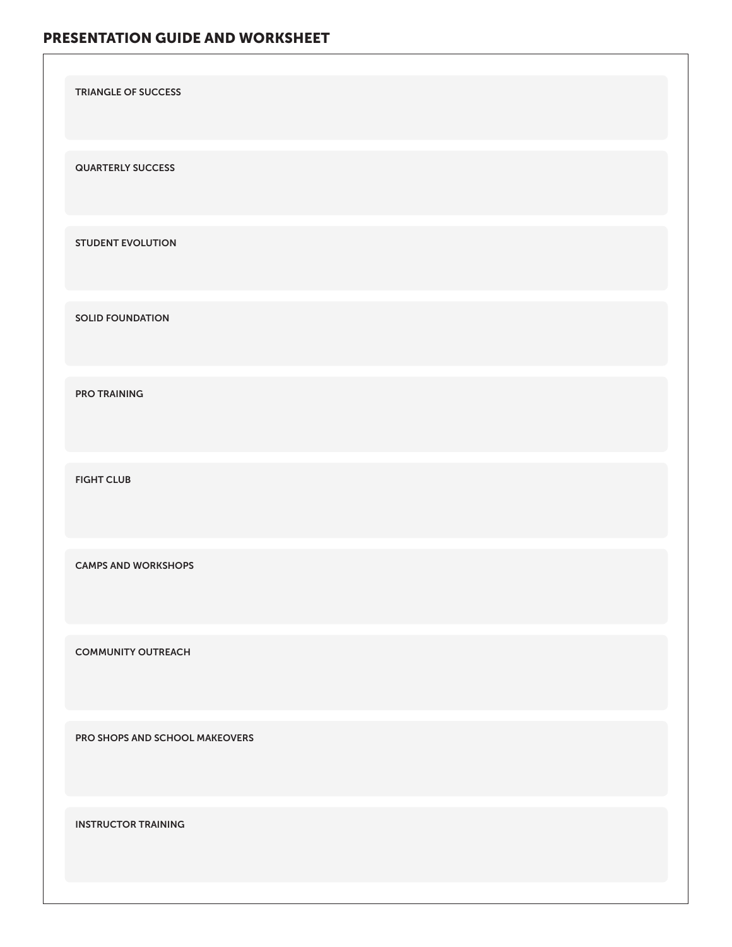# PRESENTATION GUIDE AND WORKSHEET

| <b>TRIANGLE OF SUCCESS</b>     |
|--------------------------------|
| <b>QUARTERLY SUCCESS</b>       |
| <b>STUDENT EVOLUTION</b>       |
| <b>SOLID FOUNDATION</b>        |
| <b>PRO TRAINING</b>            |
| <b>FIGHT CLUB</b>              |
| <b>CAMPS AND WORKSHOPS</b>     |
| <b>COMMUNITY OUTREACH</b>      |
| PRO SHOPS AND SCHOOL MAKEOVERS |
| <b>INSTRUCTOR TRAINING</b>     |